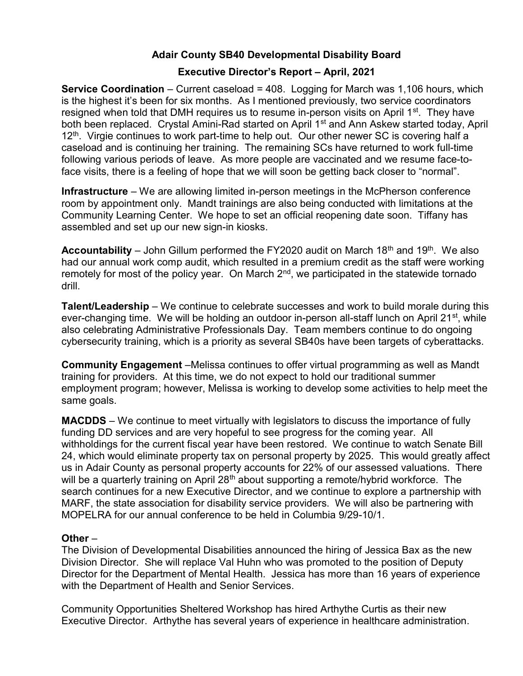# Adair County SB40 Developmental Disability Board

# Executive Director's Report – April, 2021

**Service Coordination** – Current caseload =  $408$ . Logging for March was 1,106 hours, which is the highest it's been for six months. As I mentioned previously, two service coordinators resigned when told that DMH requires us to resume in-person visits on April 1<sup>st</sup>. They have both been replaced. Crystal Amini-Rad started on April 1<sup>st</sup> and Ann Askew started today, April  $12<sup>th</sup>$ . Virgie continues to work part-time to help out. Our other newer SC is covering half a caseload and is continuing her training. The remaining SCs have returned to work full-time following various periods of leave. As more people are vaccinated and we resume face-toface visits, there is a feeling of hope that we will soon be getting back closer to "normal".

Infrastructure – We are allowing limited in-person meetings in the McPherson conference room by appointment only. Mandt trainings are also being conducted with limitations at the Community Learning Center. We hope to set an official reopening date soon. Tiffany has assembled and set up our new sign-in kiosks.

**Accountability** – John Gillum performed the FY2020 audit on March 18<sup>th</sup> and 19<sup>th</sup>. We also had our annual work comp audit, which resulted in a premium credit as the staff were working remotely for most of the policy year. On March 2<sup>nd</sup>, we participated in the statewide tornado drill.

Talent/Leadership – We continue to celebrate successes and work to build morale during this ever-changing time. We will be holding an outdoor in-person all-staff lunch on April 21<sup>st</sup>, while also celebrating Administrative Professionals Day. Team members continue to do ongoing cybersecurity training, which is a priority as several SB40s have been targets of cyberattacks.

Community Engagement –Melissa continues to offer virtual programming as well as Mandt training for providers. At this time, we do not expect to hold our traditional summer employment program; however, Melissa is working to develop some activities to help meet the same goals.

MACDDS – We continue to meet virtually with legislators to discuss the importance of fully funding DD services and are very hopeful to see progress for the coming year. All withholdings for the current fiscal year have been restored. We continue to watch Senate Bill 24, which would eliminate property tax on personal property by 2025. This would greatly affect us in Adair County as personal property accounts for 22% of our assessed valuations. There will be a quarterly training on April  $28<sup>th</sup>$  about supporting a remote/hybrid workforce. The search continues for a new Executive Director, and we continue to explore a partnership with MARF, the state association for disability service providers. We will also be partnering with MOPELRA for our annual conference to be held in Columbia 9/29-10/1.

## Other –

The Division of Developmental Disabilities announced the hiring of Jessica Bax as the new Division Director. She will replace Val Huhn who was promoted to the position of Deputy Director for the Department of Mental Health. Jessica has more than 16 years of experience with the Department of Health and Senior Services.

Community Opportunities Sheltered Workshop has hired Arthythe Curtis as their new Executive Director. Arthythe has several years of experience in healthcare administration.